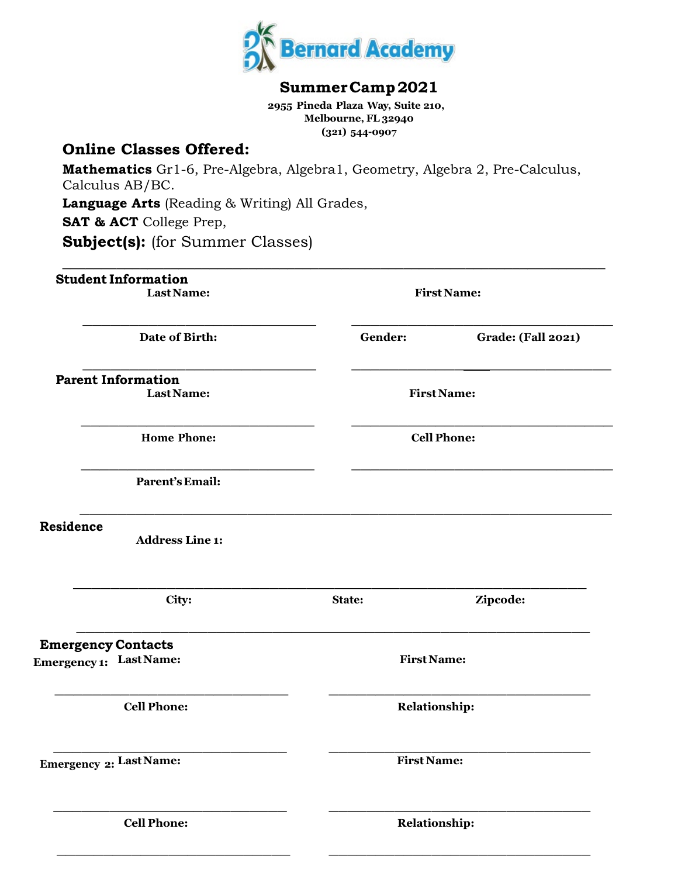

## **SummerCamp2021**

 **2955 Pineda Plaza Way, Suite 210, Melbourne, FL 32940 (321) 544-0907**

# **Online Classes Offered:**

**Mathematics** Gr1-6, Pre-Algebra, Algebra1, Geometry, Algebra 2, Pre-Calculus, Calculus AB/BC. **Language Arts** (Reading & Writing) All Grades, **SAT & ACT** College Prep, **Subject(s):** (for Summer Classes)

| <b>Student Information</b><br>Last Name:                                          |         | <b>First Name:</b>        |
|-----------------------------------------------------------------------------------|---------|---------------------------|
| Date of Birth:                                                                    | Gender: | <b>Grade: (Fall 2021)</b> |
| <b>Parent Information</b><br>Last Name:                                           |         | <b>First Name:</b>        |
| <b>Home Phone:</b>                                                                |         | <b>Cell Phone:</b>        |
| <b>Parent's Email:</b>                                                            |         |                           |
| Residence<br><b>Address Line 1:</b>                                               |         |                           |
| City:                                                                             | State:  | Zipcode:                  |
|                                                                                   |         |                           |
|                                                                                   |         | <b>First Name:</b>        |
| <b>Emergency Contacts</b><br><b>Emergency 1:</b> Last Name:<br><b>Cell Phone:</b> |         | <b>Relationship:</b>      |
| Emergency 2: Last Name:                                                           |         | <b>First Name:</b>        |